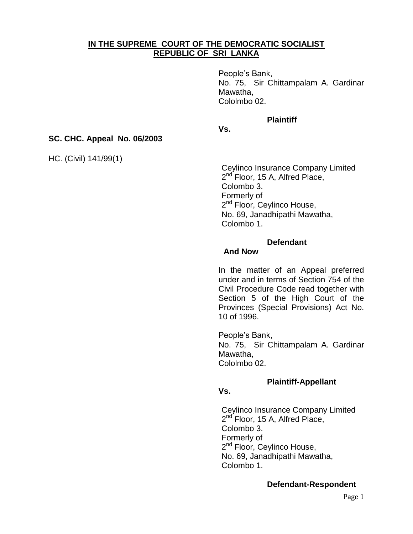# **IN THE SUPREME COURT OF THE DEMOCRATIC SOCIALIST REPUBLIC OF SRI LANKA**

People"s Bank, No. 75, Sir Chittampalam A. Gardinar Mawatha, Cololmbo 02.

#### **Plaintiff**

## **Vs.**

### **SC. CHC. Appeal No. 06/2003**

HC. (Civil) 141/99(1)

Ceylinco Insurance Company Limited 2<sup>nd</sup> Floor, 15 A, Alfred Place, Colombo 3. Formerly of 2<sup>nd</sup> Floor, Ceylinco House, No. 69, Janadhipathi Mawatha, Colombo 1.

#### **Defendant**

#### **And Now**

In the matter of an Appeal preferred under and in terms of Section 754 of the Civil Procedure Code read together with Section 5 of the High Court of the Provinces (Special Provisions) Act No. 10 of 1996.

People"s Bank, No. 75, Sir Chittampalam A. Gardinar Mawatha, Cololmbo 02.

### **Plaintiff-Appellant**

# **Vs.**

Ceylinco Insurance Company Limited 2<sup>nd</sup> Floor, 15 A, Alfred Place, Colombo 3. Formerly of 2<sup>nd</sup> Floor, Ceylinco House, No. 69, Janadhipathi Mawatha, Colombo 1.

### **Defendant-Respondent**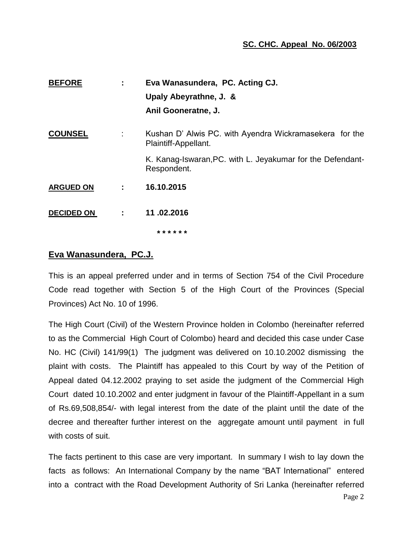# **SC. CHC. Appeal No. 06/2003**

| <b>BEFORE</b>     | ÷ | Eva Wanasundera, PC. Acting CJ.                                                 |
|-------------------|---|---------------------------------------------------------------------------------|
|                   |   | Upaly Abeyrathne, J. &                                                          |
|                   |   | Anil Gooneratne, J.                                                             |
| <b>COUNSEL</b>    | ÷ | Kushan D' Alwis PC, with Ayendra Wickramasekera for the<br>Plaintiff-Appellant. |
|                   |   | K. Kanag-Iswaran, PC. with L. Jeyakumar for the Defendant-<br>Respondent.       |
| <b>ARGUED ON</b>  | ÷ | 16.10.2015                                                                      |
| <b>DECIDED ON</b> | ÷ | 11.02.2016                                                                      |
|                   |   | * * * * * *                                                                     |

# **Eva Wanasundera, PC.J.**

This is an appeal preferred under and in terms of Section 754 of the Civil Procedure Code read together with Section 5 of the High Court of the Provinces (Special Provinces) Act No. 10 of 1996.

The High Court (Civil) of the Western Province holden in Colombo (hereinafter referred to as the Commercial High Court of Colombo) heard and decided this case under Case No. HC (Civil) 141/99(1) The judgment was delivered on 10.10.2002 dismissing the plaint with costs. The Plaintiff has appealed to this Court by way of the Petition of Appeal dated 04.12.2002 praying to set aside the judgment of the Commercial High Court dated 10.10.2002 and enter judgment in favour of the Plaintiff-Appellant in a sum of Rs.69,508,854/- with legal interest from the date of the plaint until the date of the decree and thereafter further interest on the aggregate amount until payment in full with costs of suit.

The facts pertinent to this case are very important. In summary I wish to lay down the facts as follows: An International Company by the name "BAT International" entered into a contract with the Road Development Authority of Sri Lanka (hereinafter referred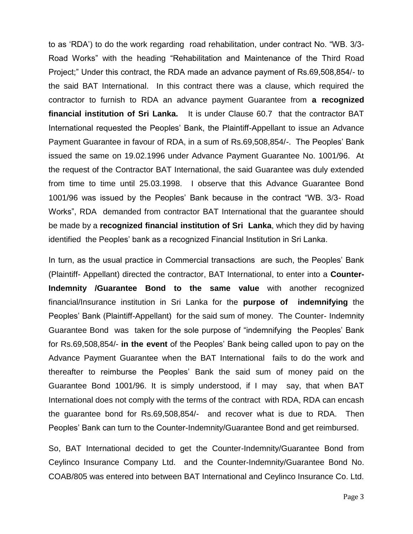to as "RDA") to do the work regarding road rehabilitation, under contract No. "WB. 3/3- Road Works" with the heading "Rehabilitation and Maintenance of the Third Road Project;" Under this contract, the RDA made an advance payment of Rs.69,508,854/- to the said BAT International. In this contract there was a clause, which required the contractor to furnish to RDA an advance payment Guarantee from **a recognized financial institution of Sri Lanka.** It is under Clause 60.7 that the contractor BAT International requested the Peoples" Bank, the Plaintiff-Appellant to issue an Advance Payment Guarantee in favour of RDA, in a sum of Rs.69,508,854/-. The Peoples" Bank issued the same on 19.02.1996 under Advance Payment Guarantee No. 1001/96. At the request of the Contractor BAT International, the said Guarantee was duly extended from time to time until 25.03.1998. I observe that this Advance Guarantee Bond 1001/96 was issued by the Peoples" Bank because in the contract "WB. 3/3- Road Works", RDA demanded from contractor BAT International that the guarantee should be made by a **recognized financial institution of Sri Lanka**, which they did by having identified the Peoples' bank as a recognized Financial Institution in Sri Lanka.

In turn, as the usual practice in Commercial transactions are such, the Peoples" Bank (Plaintiff- Appellant) directed the contractor, BAT International, to enter into a **Counter-Indemnity /Guarantee Bond to the same value** with another recognized financial/Insurance institution in Sri Lanka for the **purpose of indemnifying** the Peoples" Bank (Plaintiff-Appellant) for the said sum of money. The Counter- Indemnity Guarantee Bond was taken for the sole purpose of "indemnifying the Peoples" Bank for Rs.69,508,854/- **in the event** of the Peoples" Bank being called upon to pay on the Advance Payment Guarantee when the BAT International fails to do the work and thereafter to reimburse the Peoples" Bank the said sum of money paid on the Guarantee Bond 1001/96. It is simply understood, if I may say, that when BAT International does not comply with the terms of the contract with RDA, RDA can encash the guarantee bond for Rs.69,508,854/- and recover what is due to RDA. Then Peoples" Bank can turn to the Counter-Indemnity/Guarantee Bond and get reimbursed.

So, BAT International decided to get the Counter-Indemnity/Guarantee Bond from Ceylinco Insurance Company Ltd. and the Counter-Indemnity/Guarantee Bond No. COAB/805 was entered into between BAT International and Ceylinco Insurance Co. Ltd.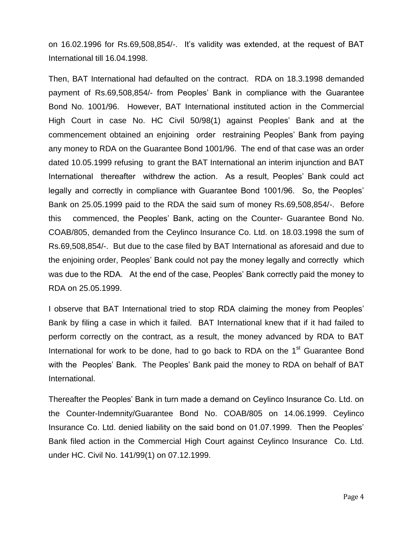on 16.02.1996 for Rs.69,508,854/-. It"s validity was extended, at the request of BAT International till 16.04.1998.

Then, BAT International had defaulted on the contract. RDA on 18.3.1998 demanded payment of Rs.69,508,854/- from Peoples" Bank in compliance with the Guarantee Bond No. 1001/96. However, BAT International instituted action in the Commercial High Court in case No. HC Civil 50/98(1) against Peoples" Bank and at the commencement obtained an enjoining order restraining Peoples" Bank from paying any money to RDA on the Guarantee Bond 1001/96. The end of that case was an order dated 10.05.1999 refusing to grant the BAT International an interim injunction and BAT International thereafter withdrew the action. As a result, Peoples' Bank could act legally and correctly in compliance with Guarantee Bond 1001/96. So, the Peoples' Bank on 25.05.1999 paid to the RDA the said sum of money Rs.69,508,854/-. Before this commenced, the Peoples" Bank, acting on the Counter- Guarantee Bond No. COAB/805, demanded from the Ceylinco Insurance Co. Ltd. on 18.03.1998 the sum of Rs.69,508,854/-. But due to the case filed by BAT International as aforesaid and due to the enjoining order, Peoples" Bank could not pay the money legally and correctly which was due to the RDA. At the end of the case, Peoples" Bank correctly paid the money to RDA on 25.05.1999.

I observe that BAT International tried to stop RDA claiming the money from Peoples" Bank by filing a case in which it failed. BAT International knew that if it had failed to perform correctly on the contract, as a result, the money advanced by RDA to BAT International for work to be done, had to go back to RDA on the 1<sup>st</sup> Guarantee Bond with the Peoples" Bank. The Peoples" Bank paid the money to RDA on behalf of BAT International.

Thereafter the Peoples" Bank in turn made a demand on Ceylinco Insurance Co. Ltd. on the Counter-Indemnity/Guarantee Bond No. COAB/805 on 14.06.1999. Ceylinco Insurance Co. Ltd. denied liability on the said bond on 01.07.1999. Then the Peoples" Bank filed action in the Commercial High Court against Ceylinco Insurance Co. Ltd. under HC. Civil No. 141/99(1) on 07.12.1999.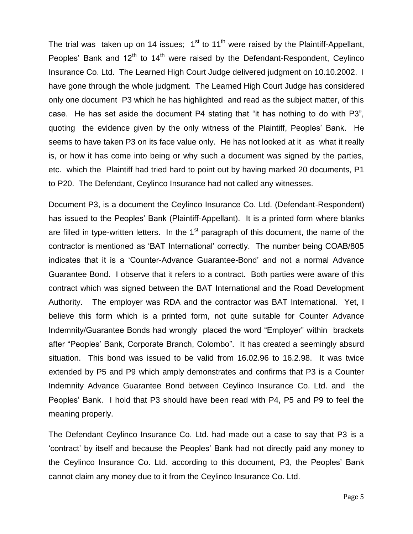The trial was taken up on 14 issues;  $1<sup>st</sup>$  to 11<sup>th</sup> were raised by the Plaintiff-Appellant, Peoples' Bank and  $12<sup>th</sup>$  to  $14<sup>th</sup>$  were raised by the Defendant-Respondent, Ceylinco Insurance Co. Ltd. The Learned High Court Judge delivered judgment on 10.10.2002. I have gone through the whole judgment. The Learned High Court Judge has considered only one document P3 which he has highlighted and read as the subject matter, of this case. He has set aside the document P4 stating that "it has nothing to do with P3", quoting the evidence given by the only witness of the Plaintiff, Peoples" Bank. He seems to have taken P3 on its face value only. He has not looked at it as what it really is, or how it has come into being or why such a document was signed by the parties, etc. which the Plaintiff had tried hard to point out by having marked 20 documents, P1 to P20. The Defendant, Ceylinco Insurance had not called any witnesses.

Document P3, is a document the Ceylinco Insurance Co. Ltd. (Defendant-Respondent) has issued to the Peoples' Bank (Plaintiff-Appellant). It is a printed form where blanks are filled in type-written letters. In the  $1<sup>st</sup>$  paragraph of this document, the name of the contractor is mentioned as "BAT International" correctly. The number being COAB/805 indicates that it is a "Counter-Advance Guarantee-Bond" and not a normal Advance Guarantee Bond. I observe that it refers to a contract. Both parties were aware of this contract which was signed between the BAT International and the Road Development Authority. The employer was RDA and the contractor was BAT International. Yet, I believe this form which is a printed form, not quite suitable for Counter Advance Indemnity/Guarantee Bonds had wrongly placed the word "Employer" within brackets after "Peoples" Bank, Corporate Branch, Colombo". It has created a seemingly absurd situation. This bond was issued to be valid from 16.02.96 to 16.2.98. It was twice extended by P5 and P9 which amply demonstrates and confirms that P3 is a Counter Indemnity Advance Guarantee Bond between Ceylinco Insurance Co. Ltd. and the Peoples" Bank. I hold that P3 should have been read with P4, P5 and P9 to feel the meaning properly.

The Defendant Ceylinco Insurance Co. Ltd. had made out a case to say that P3 is a "contract" by itself and because the Peoples" Bank had not directly paid any money to the Ceylinco Insurance Co. Ltd. according to this document, P3, the Peoples" Bank cannot claim any money due to it from the Ceylinco Insurance Co. Ltd.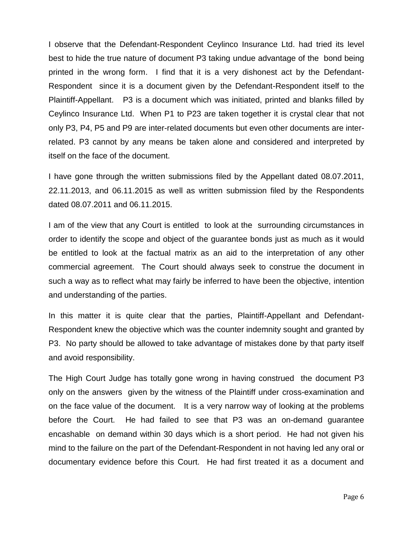I observe that the Defendant-Respondent Ceylinco Insurance Ltd. had tried its level best to hide the true nature of document P3 taking undue advantage of the bond being printed in the wrong form. I find that it is a very dishonest act by the Defendant-Respondent since it is a document given by the Defendant-Respondent itself to the Plaintiff-Appellant. P3 is a document which was initiated, printed and blanks filled by Ceylinco Insurance Ltd. When P1 to P23 are taken together it is crystal clear that not only P3, P4, P5 and P9 are inter-related documents but even other documents are interrelated. P3 cannot by any means be taken alone and considered and interpreted by itself on the face of the document.

I have gone through the written submissions filed by the Appellant dated 08.07.2011, 22.11.2013, and 06.11.2015 as well as written submission filed by the Respondents dated 08.07.2011 and 06.11.2015.

I am of the view that any Court is entitled to look at the surrounding circumstances in order to identify the scope and object of the guarantee bonds just as much as it would be entitled to look at the factual matrix as an aid to the interpretation of any other commercial agreement. The Court should always seek to construe the document in such a way as to reflect what may fairly be inferred to have been the objective, intention and understanding of the parties.

In this matter it is quite clear that the parties, Plaintiff-Appellant and Defendant-Respondent knew the objective which was the counter indemnity sought and granted by P3. No party should be allowed to take advantage of mistakes done by that party itself and avoid responsibility.

The High Court Judge has totally gone wrong in having construed the document P3 only on the answers given by the witness of the Plaintiff under cross-examination and on the face value of the document. It is a very narrow way of looking at the problems before the Court. He had failed to see that P3 was an on-demand guarantee encashable on demand within 30 days which is a short period. He had not given his mind to the failure on the part of the Defendant-Respondent in not having led any oral or documentary evidence before this Court. He had first treated it as a document and